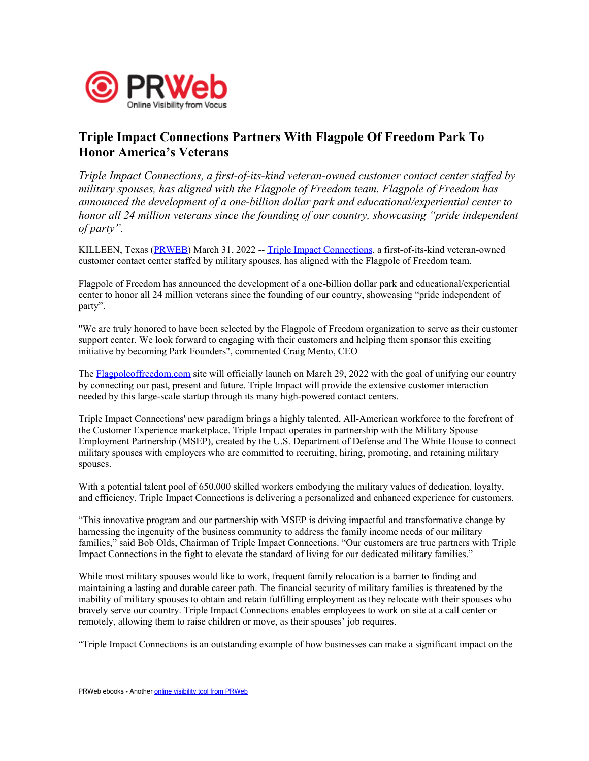

## Triple Impact Connections Partners With Flagpole Of Freedom Park To Honor America's Veterans

Triple Impact Connections, a first-of-its-kind veteran-owned customer contact center staffed by military spouses, has aligned with the Flagpole of Freedom team. Flagpole of Freedom has announced the development of a one-billion dollar park and educational/experiential center to honor all 24 million veterans since the founding of our country, showcasing "pride independent of party".

KILLEEN, Texas [\(PRWEB](http://www.prweb.com)) March 31, 2022 -- Triple Impact [Connections](https://www.tripleimpact.com), a first-of-its-kind veteran-owned customer contact center staffed by military spouses, has aligned with the Flagpole of Freedom team.

Flagpole of Freedom has announced the development of a one-billion dollar park and educational/experiential center to honor all 24 million veterans since the founding of our country, showcasing "pride independent of party".

"We are truly honored to have been selected by the Flagpole of Freedom organization to serve as their customer support center. We look forward to engaging with their customers and helping them sponsor this exciting initiative by becoming Park Founders", commented Craig Mento, CEO

The [Flagpoleoffreedom.com](http://Flagpoleoffreedom.com) site will officially launch on March 29, 2022 with the goal of unifying our country by connecting our past, present and future. Triple Impact will provide the extensive customer interaction needed by this large-scale startup through its many high-powered contact centers.

Triple Impact Connections' new paradigm brings a highly talented, All-American workforce to the forefront of the Customer Experience marketplace. Triple Impact operates in partnership with the Military Spouse Employment Partnership (MSEP), created by the U.S. Department of Defense and The White House to connect military spouses with employers who are committed to recruiting, hiring, promoting, and retaining military spouses.

With a potential talent pool of 650,000 skilled workers embodying the military values of dedication, loyalty, and efficiency, Triple Impact Connections is delivering a personalized and enhanced experience for customers.

"This innovative program and our partnership with MSEP is driving impactful and transformative change by harnessing the ingenuity of the business community to address the family income needs of our military families," said Bob Olds, Chairman of Triple Impact Connections. "Our customers are true partners with Triple Impact Connections in the fight to elevate the standard of living for our dedicated military families."

While most military spouses would like to work, frequent family relocation is a barrier to finding and maintaining a lasting and durable career path. The financial security of military families is threatened by the inability of military spouses to obtain and retain fulfilling employment as they relocate with their spouses who bravely serve our country. Triple Impact Connections enables employees to work on site at a call center or remotely, allowing them to raise children or move, as their spouses' job requires.

"Triple Impact Connections is an outstanding example of how businesses can make a significant impact on the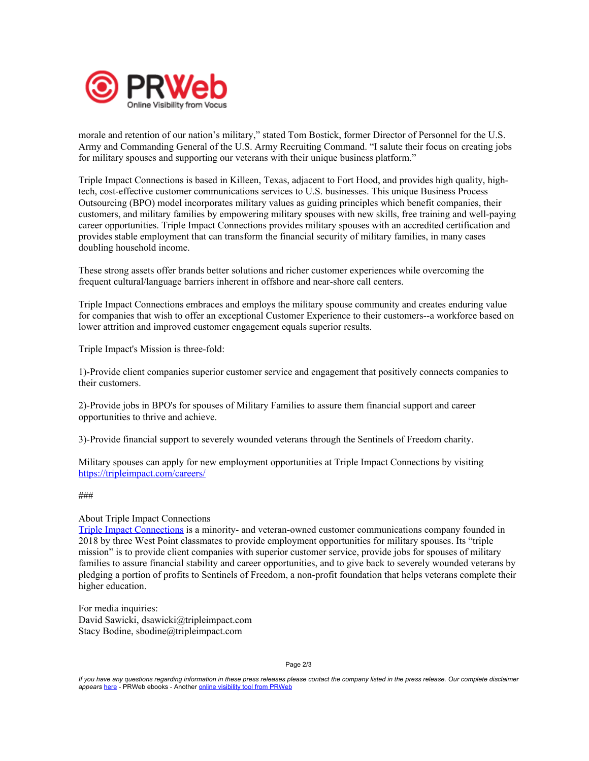

morale and retention of our nation's military," stated Tom Bostick, former Director of Personnel for the U.S. Army and Commanding General of the U.S. Army Recruiting Command. "I salute their focus on creating jobs for military spouses and supporting our veterans with their unique business platform."

Triple Impact Connections is based in Killeen, Texas, adjacent to Fort Hood, and provides high quality, hightech, cost-effective customer communications services to U.S. businesses. This unique Business Process Outsourcing (BPO) model incorporates military values as guiding principles which benefit companies, their customers, and military families by empowering military spouses with new skills, free training and well-paying career opportunities. Triple Impact Connections provides military spouses with an accredited certification and provides stable employment that can transform the financial security of military families, in many cases doubling household income.

These strong assets offer brands better solutions and richer customer experiences while overcoming the frequent cultural/language barriers inherent in offshore and near-shore call centers.

Triple Impact Connections embraces and employs the military spouse community and creates enduring value for companies that wish to offer an exceptional Customer Experience to their customers--a workforce based on lower attrition and improved customer engagement equals superior results.

Triple Impact's Mission is three-fold:

1)-Provide client companies superior customer service and engagement that positively connects companies to their customers.

2)-Provide jobs in BPO's for spouses of Military Families to assure them financial support and career opportunities to thrive and achieve.

3)-Provide financial support to severely wounded veterans through the Sentinels of Freedom charity.

Military spouses can apply for new employment opportunities at Triple Impact Connections by visiting <https://tripleimpact.com/careers/>

###

## About Triple Impact Connections

Triple Impact [Connections](https://www.tripleimpact.com) is a minority- and veteran-owned customer communications company founded in 2018 by three West Point classmates to provide employment opportunities for military spouses. Its "triple mission" is to provide client companies with superior customer service, provide jobs for spouses of military families to assure financial stability and career opportunities, and to give back to severely wounded veterans by pledging a portion of profits to Sentinels of Freedom, a non-profit foundation that helps veterans complete their higher education.

For media inquiries: David Sawicki, dsawicki@tripleimpact.com Stacy Bodine, sbodine@tripleimpact.com

Page 2/3

If you have any questions regarding information in these press releases please contact the company listed in the press release. Our complete disclaimer appears [here](http://www.prweb.com/disclaimer.htm) - PRWeb ebooks - Another online [visibility](http://www.prweb.com) tool from PRWeb